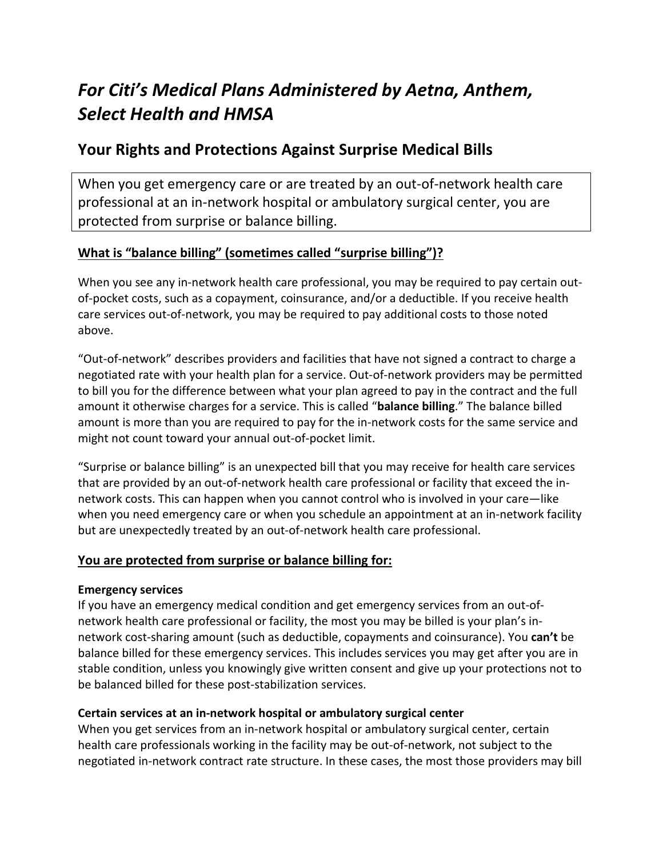# *For Citi's Medical Plans Administered by Aetna, Anthem, Select Health and HMSA*

# **Your Rights and Protections Against Surprise Medical Bills**

When you get emergency care or are treated by an out-of-network health care professional at an in-network hospital or ambulatory surgical center, you are protected from surprise or balance billing.

### **What is "balance billing" (sometimes called "surprise billing")?**

When you see any in-network health care professional, you may be required to pay certain outof-pocket costs, such as a copayment, coinsurance, and/or a deductible. If you receive health care services out-of-network, you may be required to pay additional costs to those noted above.

"Out-of-network" describes providers and facilities that have not signed a contract to charge a negotiated rate with your health plan for a service. Out-of-network providers may be permitted to bill you for the difference between what your plan agreed to pay in the contract and the full amount it otherwise charges for a service. This is called "**balance billing**." The balance billed amount is more than you are required to pay for the in-network costs for the same service and might not count toward your annual out-of-pocket limit.

"Surprise or balance billing" is an unexpected bill that you may receive for health care services that are provided by an out-of-network health care professional or facility that exceed the innetwork costs. This can happen when you cannot control who is involved in your care—like when you need emergency care or when you schedule an appointment at an in-network facility but are unexpectedly treated by an out-of-network health care professional.

### **You are protected from surprise or balance billing for:**

### **Emergency services**

If you have an emergency medical condition and get emergency services from an out-ofnetwork health care professional or facility, the most you may be billed is your plan's innetwork cost-sharing amount (such as deductible, copayments and coinsurance). You **can't** be balance billed for these emergency services. This includes services you may get after you are in stable condition, unless you knowingly give written consent and give up your protections not to be balanced billed for these post-stabilization services.

### **Certain services at an in-network hospital or ambulatory surgical center**

When you get services from an in-network hospital or ambulatory surgical center, certain health care professionals working in the facility may be out-of-network, not subject to the negotiated in-network contract rate structure. In these cases, the most those providers may bill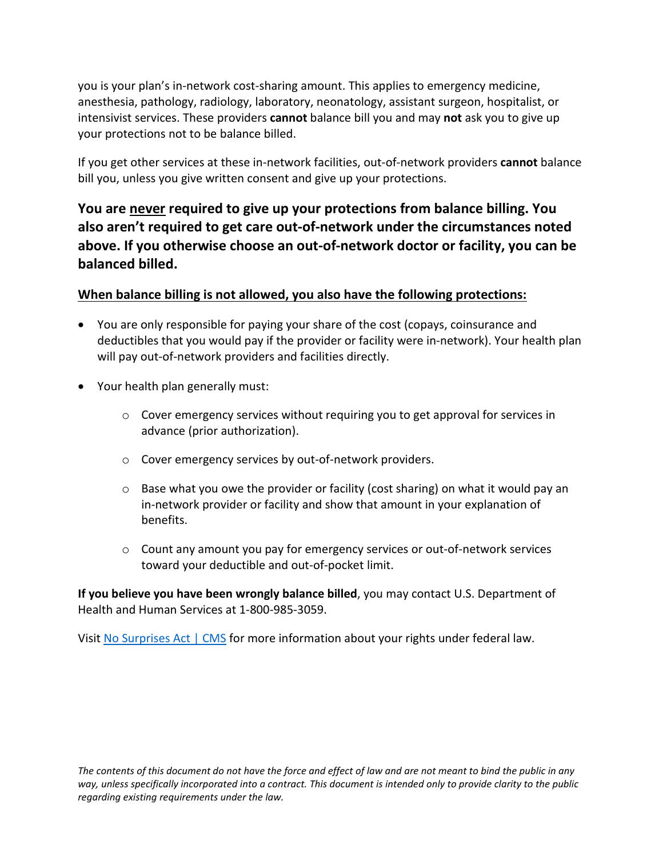you is your plan's in-network cost-sharing amount. This applies to emergency medicine, anesthesia, pathology, radiology, laboratory, neonatology, assistant surgeon, hospitalist, or intensivist services. These providers **cannot** balance bill you and may **not** ask you to give up your protections not to be balance billed.

If you get other services at these in-network facilities, out-of-network providers **cannot** balance bill you, unless you give written consent and give up your protections.

**You are never required to give up your protections from balance billing. You also aren't required to get care out-of-network under the circumstances noted above. If you otherwise choose an out-of-network doctor or facility, you can be balanced billed.** 

### **When balance billing is not allowed, you also have the following protections:**

- You are only responsible for paying your share of the cost (copays, coinsurance and deductibles that you would pay if the provider or facility were in-network). Your health plan will pay out-of-network providers and facilities directly.
- Your health plan generally must:
	- $\circ$  Cover emergency services without requiring you to get approval for services in advance (prior authorization).
	- o Cover emergency services by out-of-network providers.
	- $\circ$  Base what you owe the provider or facility (cost sharing) on what it would pay an in-network provider or facility and show that amount in your explanation of benefits.
	- $\circ$  Count any amount you pay for emergency services or out-of-network services toward your deductible and out-of-pocket limit.

**If you believe you have been wrongly balance billed**, you may contact U.S. Department of Health and Human Services at 1-800-985-3059.

Visi[t No Surprises Act | CMS](https://www.cms.gov/nosurprises) for more information about your rights under federal law.

*The contents of this document do not have the force and effect of law and are not meant to bind the public in any way, unless specifically incorporated into a contract. This document is intended only to provide clarity to the public regarding existing requirements under the law.*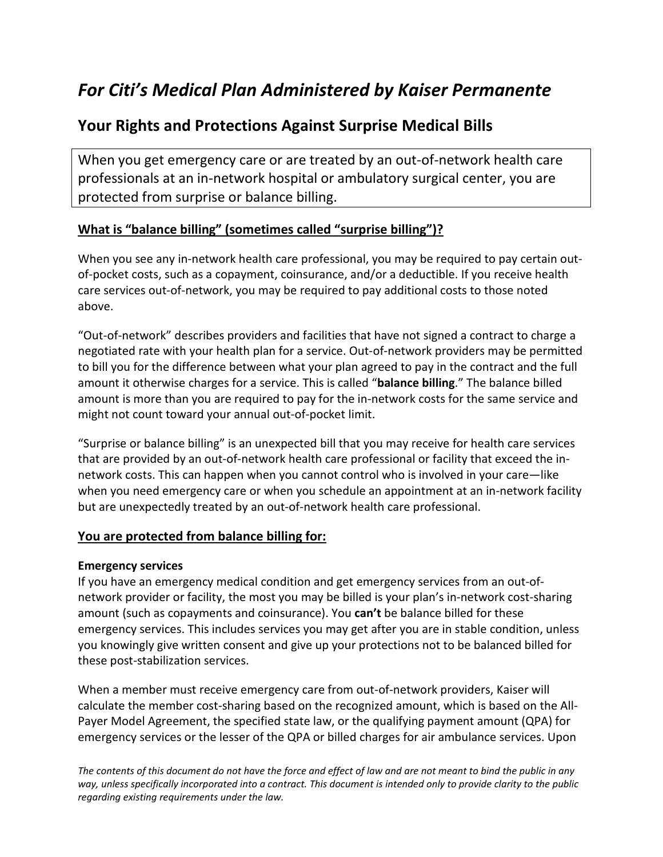# *For Citi's Medical Plan Administered by Kaiser Permanente*

# **Your Rights and Protections Against Surprise Medical Bills**

When you get emergency care or are treated by an out-of-network health care professionals at an in-network hospital or ambulatory surgical center, you are protected from surprise or balance billing.

### **What is "balance billing" (sometimes called "surprise billing")?**

When you see any in-network health care professional, you may be required to pay certain outof-pocket costs, such as a copayment, coinsurance, and/or a deductible. If you receive health care services out-of-network, you may be required to pay additional costs to those noted above.

"Out-of-network" describes providers and facilities that have not signed a contract to charge a negotiated rate with your health plan for a service. Out-of-network providers may be permitted to bill you for the difference between what your plan agreed to pay in the contract and the full amount it otherwise charges for a service. This is called "**balance billing**." The balance billed amount is more than you are required to pay for the in-network costs for the same service and might not count toward your annual out-of-pocket limit.

"Surprise or balance billing" is an unexpected bill that you may receive for health care services that are provided by an out-of-network health care professional or facility that exceed the innetwork costs. This can happen when you cannot control who is involved in your care—like when you need emergency care or when you schedule an appointment at an in-network facility but are unexpectedly treated by an out-of-network health care professional.

### **You are protected from balance billing for:**

#### **Emergency services**

If you have an emergency medical condition and get emergency services from an out-ofnetwork provider or facility, the most you may be billed is your plan's in-network cost-sharing amount (such as copayments and coinsurance). You **can't** be balance billed for these emergency services. This includes services you may get after you are in stable condition, unless you knowingly give written consent and give up your protections not to be balanced billed for these post-stabilization services.

When a member must receive emergency care from out-of-network providers, Kaiser will calculate the member cost-sharing based on the recognized amount, which is based on the All-Payer Model Agreement, the specified state law, or the qualifying payment amount (QPA) for emergency services or the lesser of the QPA or billed charges for air ambulance services. Upon

*The contents of this document do not have the force and effect of law and are not meant to bind the public in any way, unless specifically incorporated into a contract. This document is intended only to provide clarity to the public regarding existing requirements under the law.*